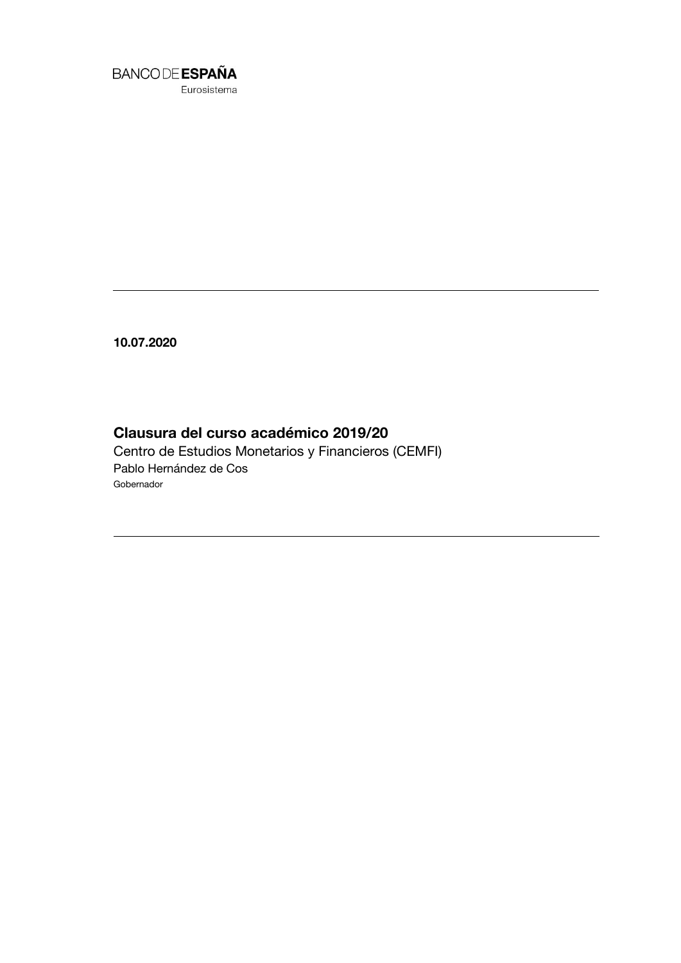

Eurosistema

**10.07.2020**

## **Clausura del curso académico 2019/20**

Centro de Estudios Monetarios y Financieros (CEMFI) Pablo Hernández de Cos Gobernador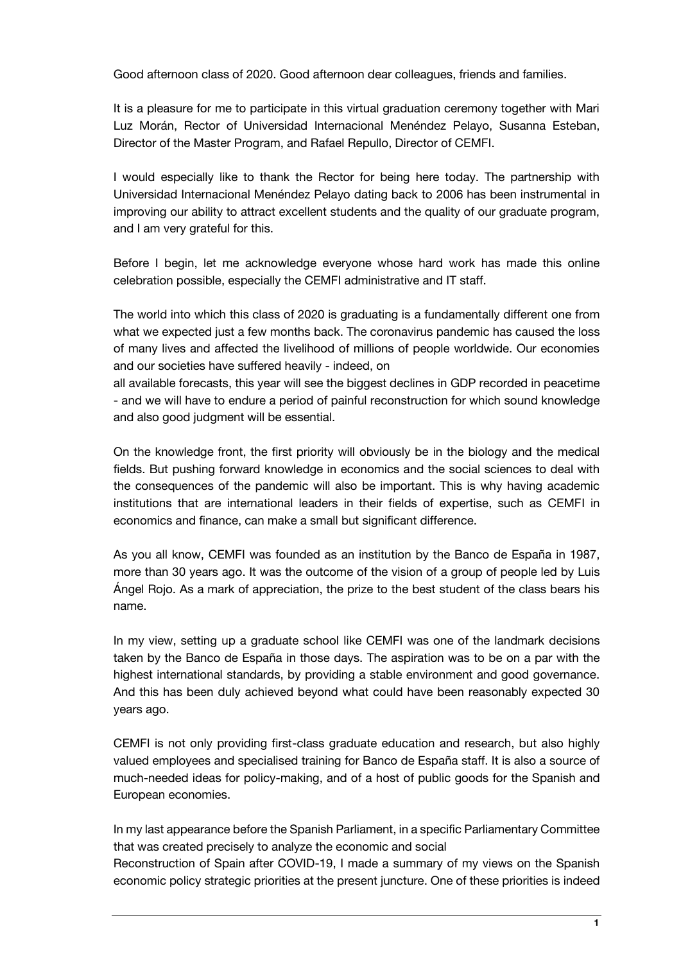Good afternoon class of 2020. Good afternoon dear colleagues, friends and families.

It is a pleasure for me to participate in this virtual graduation ceremony together with Mari Luz Morán, Rector of Universidad Internacional Menéndez Pelayo, Susanna Esteban, Director of the Master Program, and Rafael Repullo, Director of CEMFI.

I would especially like to thank the Rector for being here today. The partnership with Universidad Internacional Menéndez Pelayo dating back to 2006 has been instrumental in improving our ability to attract excellent students and the quality of our graduate program, and I am very grateful for this.

Before I begin, let me acknowledge everyone whose hard work has made this online celebration possible, especially the CEMFI administrative and IT staff.

The world into which this class of 2020 is graduating is a fundamentally different one from what we expected just a few months back. The coronavirus pandemic has caused the loss of many lives and affected the livelihood of millions of people worldwide. Our economies and our societies have suffered heavily - indeed, on

all available forecasts, this year will see the biggest declines in GDP recorded in peacetime - and we will have to endure a period of painful reconstruction for which sound knowledge and also good judgment will be essential.

On the knowledge front, the first priority will obviously be in the biology and the medical fields. But pushing forward knowledge in economics and the social sciences to deal with the consequences of the pandemic will also be important. This is why having academic institutions that are international leaders in their fields of expertise, such as CEMFI in economics and finance, can make a small but significant difference.

As you all know, CEMFI was founded as an institution by the Banco de España in 1987, more than 30 years ago. It was the outcome of the vision of a group of people led by Luis Ángel Rojo. As a mark of appreciation, the prize to the best student of the class bears his name.

In my view, setting up a graduate school like CEMFI was one of the landmark decisions taken by the Banco de España in those days. The aspiration was to be on a par with the highest international standards, by providing a stable environment and good governance. And this has been duly achieved beyond what could have been reasonably expected 30 years ago.

CEMFI is not only providing first-class graduate education and research, but also highly valued employees and specialised training for Banco de España staff. It is also a source of much-needed ideas for policy-making, and of a host of public goods for the Spanish and European economies.

In my last appearance before the Spanish Parliament, in a specific Parliamentary Committee that was created precisely to analyze the economic and social

Reconstruction of Spain after COVID-19, I made a summary of my views on the Spanish economic policy strategic priorities at the present juncture. One of these priorities is indeed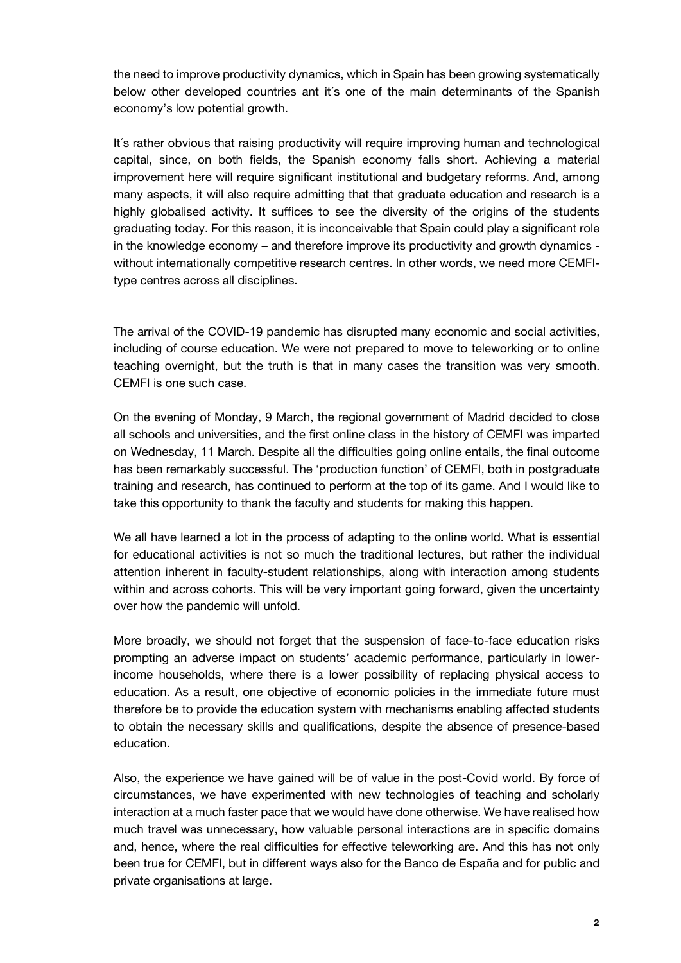the need to improve productivity dynamics, which in Spain has been growing systematically below other developed countries ant it´s one of the main determinants of the Spanish economy's low potential growth.

It´s rather obvious that raising productivity will require improving human and technological capital, since, on both fields, the Spanish economy falls short. Achieving a material improvement here will require significant institutional and budgetary reforms. And, among many aspects, it will also require admitting that that graduate education and research is a highly globalised activity. It suffices to see the diversity of the origins of the students graduating today. For this reason, it is inconceivable that Spain could play a significant role in the knowledge economy – and therefore improve its productivity and growth dynamics without internationally competitive research centres. In other words, we need more CEMFItype centres across all disciplines.

The arrival of the COVID-19 pandemic has disrupted many economic and social activities, including of course education. We were not prepared to move to teleworking or to online teaching overnight, but the truth is that in many cases the transition was very smooth. CEMFI is one such case.

On the evening of Monday, 9 March, the regional government of Madrid decided to close all schools and universities, and the first online class in the history of CEMFI was imparted on Wednesday, 11 March. Despite all the difficulties going online entails, the final outcome has been remarkably successful. The 'production function' of CEMFI, both in postgraduate training and research, has continued to perform at the top of its game. And I would like to take this opportunity to thank the faculty and students for making this happen.

We all have learned a lot in the process of adapting to the online world. What is essential for educational activities is not so much the traditional lectures, but rather the individual attention inherent in faculty-student relationships, along with interaction among students within and across cohorts. This will be very important going forward, given the uncertainty over how the pandemic will unfold.

More broadly, we should not forget that the suspension of face-to-face education risks prompting an adverse impact on students' academic performance, particularly in lowerincome households, where there is a lower possibility of replacing physical access to education. As a result, one objective of economic policies in the immediate future must therefore be to provide the education system with mechanisms enabling affected students to obtain the necessary skills and qualifications, despite the absence of presence-based education.

Also, the experience we have gained will be of value in the post-Covid world. By force of circumstances, we have experimented with new technologies of teaching and scholarly interaction at a much faster pace that we would have done otherwise. We have realised how much travel was unnecessary, how valuable personal interactions are in specific domains and, hence, where the real difficulties for effective teleworking are. And this has not only been true for CEMFI, but in different ways also for the Banco de España and for public and private organisations at large.